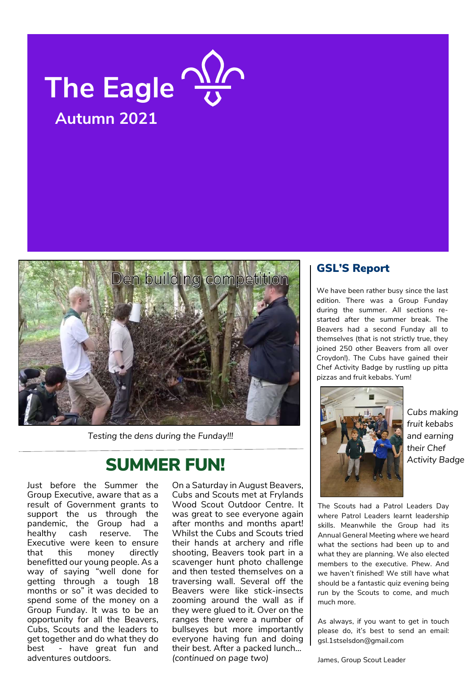

## Autumn 2021



Testing the dens during the Funday!!!

### SUMMER FUN!

Just before the Summer the Group Executive, aware that as a result of Government grants to support the us through the pandemic, the Group had a healthy cash reserve. The Executive were keen to ensure that this money directly benefitted our young people. As a way of saying "well done for getting through a tough 18 months or so" it was decided to spend some of the money on a Group Funday. It was to be an opportunity for all the Beavers, Cubs, Scouts and the leaders to get together and do what they do best - have great fun and adventures outdoors.

On a Saturday in August Beavers, Cubs and Scouts met at Frylands Wood Scout Outdoor Centre. It was great to see everyone again after months and months apart! Whilst the Cubs and Scouts tried their hands at archery and rifle shooting, Beavers took part in a scavenger hunt photo challenge and then tested themselves on a traversing wall. Several off the Beavers were like stick-insects zooming around the wall as if they were glued to it. Over on the ranges there were a number of bullseyes but more importantly everyone having fun and doing their best. After a packed lunch… (continued on page two)

#### GSL'S Report

We have been rather busy since the last edition. There was a Group Funday during the summer. All sections restarted after the summer break. The Beavers had a second Funday all to themselves (that is not strictly true, they joined 250 other Beavers from all over Croydon!). The Cubs have gained their Chef Activity Badge by rustling up pitta pizzas and fruit kebabs. Yum!

/1stsanda @1stsanda



Cubs making fruit kebabs and earning their Chef Activity Badge

The Scouts had a Patrol Leaders Day where Patrol Leaders learnt leadership skills. Meanwhile the Group had its Annual General Meeting where we heard what the sections had been up to and what they are planning. We also elected members to the executive. Phew. And we haven't finished! We still have what should be a fantastic quiz evening being run by the Scouts to come, and much much more.

As always, if you want to get in touch please do, it's best to send an email: gsl.1stselsdon@gmail.com

James, Group Scout Leader